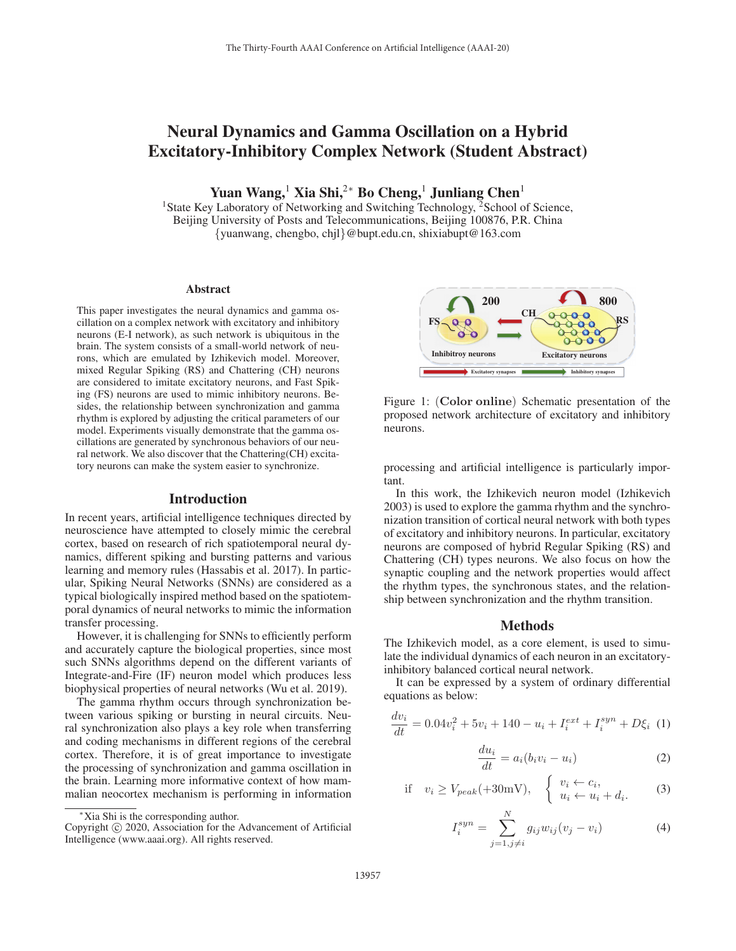# Neural Dynamics and Gamma Oscillation on a Hybrid Excitatory-Inhibitory Complex Network (Student Abstract)

Yuan Wang,<sup>1</sup> Xia Shi,<sup>2∗</sup> Bo Cheng,<sup>1</sup> Junliang Chen<sup>1</sup>

<sup>1</sup>State Key Laboratory of Networking and Switching Technology, <sup>2</sup>School of Science, Beijing University of Posts and Telecommunications, Beijing 100876, P.R. China {yuanwang, chengbo, chjl}@bupt.edu.cn, shixiabupt@163.com

### Abstract

This paper investigates the neural dynamics and gamma oscillation on a complex network with excitatory and inhibitory neurons (E-I network), as such network is ubiquitous in the brain. The system consists of a small-world network of neurons, which are emulated by Izhikevich model. Moreover, mixed Regular Spiking (RS) and Chattering (CH) neurons are considered to imitate excitatory neurons, and Fast Spiking (FS) neurons are used to mimic inhibitory neurons. Besides, the relationship between synchronization and gamma rhythm is explored by adjusting the critical parameters of our model. Experiments visually demonstrate that the gamma oscillations are generated by synchronous behaviors of our neural network. We also discover that the Chattering(CH) excitatory neurons can make the system easier to synchronize.

#### Introduction

In recent years, artificial intelligence techniques directed by neuroscience have attempted to closely mimic the cerebral cortex, based on research of rich spatiotemporal neural dynamics, different spiking and bursting patterns and various learning and memory rules (Hassabis et al. 2017). In particular, Spiking Neural Networks (SNNs) are considered as a typical biologically inspired method based on the spatiotemporal dynamics of neural networks to mimic the information transfer processing.

However, it is challenging for SNNs to efficiently perform and accurately capture the biological properties, since most such SNNs algorithms depend on the different variants of Integrate-and-Fire (IF) neuron model which produces less biophysical properties of neural networks (Wu et al. 2019).

The gamma rhythm occurs through synchronization between various spiking or bursting in neural circuits. Neural synchronization also plays a key role when transferring and coding mechanisms in different regions of the cerebral cortex. Therefore, it is of great importance to investigate the processing of synchronization and gamma oscillation in the brain. Learning more informative context of how mammalian neocortex mechanism is performing in information



Copyright  $\odot$  2020, Association for the Advancement of Artificial Intelligence (www.aaai.org). All rights reserved.



Figure 1: (**Color online**) Schematic presentation of the proposed network architecture of excitatory and inhibitory neurons.

processing and artificial intelligence is particularly important.

In this work, the Izhikevich neuron model (Izhikevich 2003) is used to explore the gamma rhythm and the synchronization transition of cortical neural network with both types of excitatory and inhibitory neurons. In particular, excitatory neurons are composed of hybrid Regular Spiking (RS) and Chattering (CH) types neurons. We also focus on how the synaptic coupling and the network properties would affect the rhythm types, the synchronous states, and the relationship between synchronization and the rhythm transition.

#### Methods

The Izhikevich model, as a core element, is used to simulate the individual dynamics of each neuron in an excitatoryinhibitory balanced cortical neural network.

It can be expressed by a system of ordinary differential equations as below:

$$
\frac{dv_i}{dt} = 0.04v_i^2 + 5v_i + 140 - u_i + I_i^{ext} + I_i^{syn} + D\xi_i
$$
 (1)

$$
\frac{du_i}{dt} = a_i(b_i v_i - u_i)
$$
\n(2)

if 
$$
v_i \ge V_{peak}(+30 \text{mV})
$$
, 
$$
\begin{cases} v_i \leftarrow c_i, \\ u_i \leftarrow u_i + d_i. \end{cases}
$$
 (3)

$$
I_i^{syn} = \sum_{j=1, j \neq i}^{N} g_{ij} w_{ij} (v_j - v_i)
$$
 (4)